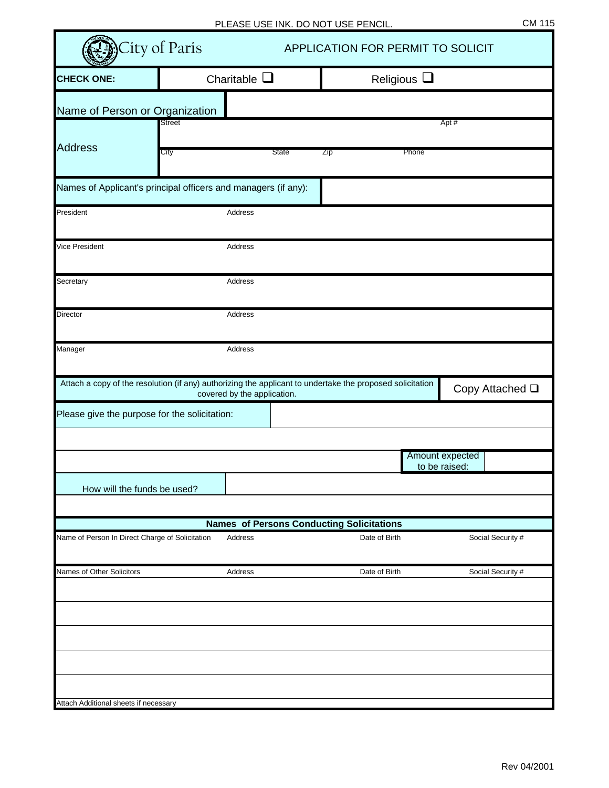|                                                 | City of Paris                                                                                                                            |              |     | APPLICATION FOR PERMIT TO SOLICIT |                   |
|-------------------------------------------------|------------------------------------------------------------------------------------------------------------------------------------------|--------------|-----|-----------------------------------|-------------------|
| <b>CHECK ONE:</b>                               | Charitable $\square$                                                                                                                     |              |     | Religious $\square$               |                   |
| Name of Person or Organization                  |                                                                                                                                          |              |     |                                   |                   |
|                                                 | Street                                                                                                                                   |              |     |                                   | Apt#              |
| <b>Address</b>                                  | City                                                                                                                                     | <b>State</b> | Zip | Phone                             |                   |
|                                                 | Names of Applicant's principal officers and managers (if any):                                                                           |              |     |                                   |                   |
| President                                       | Address                                                                                                                                  |              |     |                                   |                   |
| <b>Vice President</b>                           | Address                                                                                                                                  |              |     |                                   |                   |
| Secretary                                       | <b>Address</b>                                                                                                                           |              |     |                                   |                   |
| Director                                        | Address                                                                                                                                  |              |     |                                   |                   |
| Manager                                         | Address                                                                                                                                  |              |     |                                   |                   |
|                                                 | Attach a copy of the resolution (if any) authorizing the applicant to undertake the proposed solicitation<br>covered by the application. |              |     |                                   | Copy Attached Q   |
| Please give the purpose for the solicitation:   |                                                                                                                                          |              |     |                                   |                   |
|                                                 |                                                                                                                                          |              |     |                                   | Amount expected   |
|                                                 |                                                                                                                                          |              |     |                                   | to be raised:     |
| How will the funds be used?                     |                                                                                                                                          |              |     |                                   |                   |
|                                                 | <b>Names of Persons Conducting Solicitations</b>                                                                                         |              |     |                                   |                   |
| Name of Person In Direct Charge of Solicitation | Address                                                                                                                                  |              |     | Date of Birth                     | Social Security # |
| Names of Other Solicitors                       | Address                                                                                                                                  |              |     | Date of Birth                     | Social Security # |
|                                                 |                                                                                                                                          |              |     |                                   |                   |
|                                                 |                                                                                                                                          |              |     |                                   |                   |
|                                                 |                                                                                                                                          |              |     |                                   |                   |
|                                                 |                                                                                                                                          |              |     |                                   |                   |
| Attach Additional sheets if necessary           |                                                                                                                                          |              |     |                                   |                   |